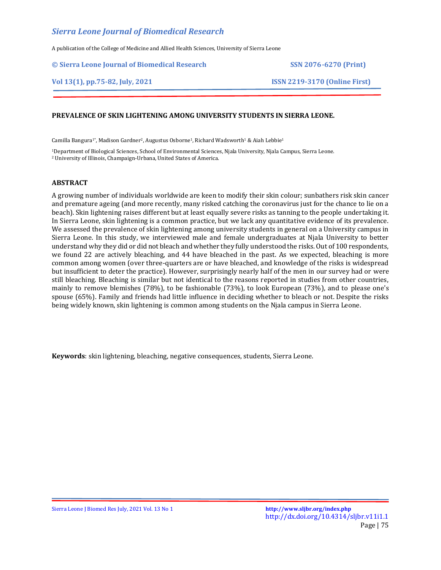A publication of the College of Medicine and Allied Health Sciences, University of Sierra Leone

## **© Sierra Leone Journal of Biomedical Research SSN 2076-6270 (Print)**

# **Vol 13(1), pp.75-82, July, 2021 ISSN 2219-3170 (Online First)**

# **PREVALENCE OF SKIN LIGHTENING AMONG UNIVERSITY STUDENTS IN SIERRA LEONE.**

Camilla Bangura<sup>1\*</sup>, Madison Gardner<sup>2</sup>, Augustus Osborne<sup>1</sup>, Richard Wadsworth<sup>1</sup> & Aiah Lebbie<sup>1</sup>

<sup>1</sup>Department of Biological Sciences, School of Environmental Sciences, Njala University, Njala Campus, Sierra Leone. <sup>2</sup> University of Illinois, Champaign-Urbana, United States of America.

## **ABSTRACT**

A growing number of individuals worldwide are keen to modify their skin colour; sunbathers risk skin cancer and premature ageing (and more recently, many risked catching the coronavirus just for the chance to lie on a beach). Skin lightening raises different but at least equally severe risks as tanning to the people undertaking it. In Sierra Leone, skin lightening is a common practice, but we lack any quantitative evidence of its prevalence. We assessed the prevalence of skin lightening among university students in general on a University campus in Sierra Leone. In this study, we interviewed male and female undergraduates at Njala University to better understand why they did or did not bleach and whether they fully understood the risks. Out of 100 respondents, we found 22 are actively bleaching, and 44 have bleached in the past. As we expected, bleaching is more common among women (over three-quarters are or have bleached, and knowledge of the risks is widespread but insufficient to deter the practice). However, surprisingly nearly half of the men in our survey had or were still bleaching. Bleaching is similar but not identical to the reasons reported in studies from other countries, mainly to remove blemishes (78%), to be fashionable (73%), to look European (73%), and to please one's spouse (65%). Family and friends had little influence in deciding whether to bleach or not. Despite the risks being widely known, skin lightening is common among students on the Njala campus in Sierra Leone.

**Keywords**: skin lightening, bleaching, negative consequences, students, Sierra Leone.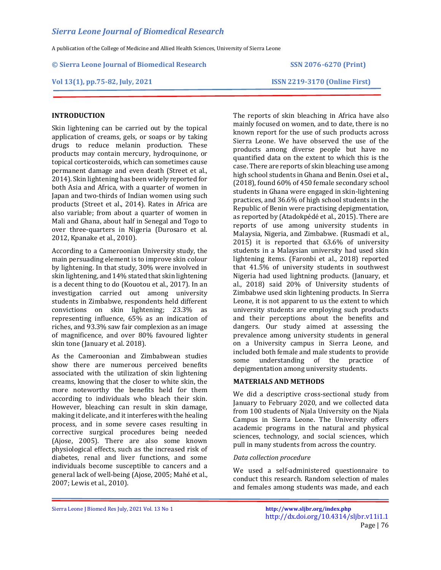A publication of the College of Medicine and Allied Health Sciences, University of Sierra Leone

### **© Sierra Leone Journal of Biomedical Research SSN 2076-6270 (Print)**

## **Vol 13(1), pp.75-82, July, 2021 ISSN 2219-3170 (Online First)**

# **INTRODUCTION**

Skin lightening can be carried out by the topical application of creams, gels, or soaps or by taking drugs to reduce melanin production. These products may contain mercury, hydroquinone, or topical corticosteroids, which can sometimes cause permanent damage and even death (Street et al., 2014). Skin lightening has been widely reported for both Asia and Africa, with a quarter of women in Japan and two-thirds of Indian women using such products (Street et al., 2014). Rates in Africa are also variable; from about a quarter of women in Mali and Ghana, about half in Senegal and Togo to over three-quarters in Nigeria (Durosaro et al. 2012, Kpanake et al., 2010).

According to a Cameroonian University study, the main persuading element is to improve skin colour by lightening. In that study, 30% were involved in skin lightening, and 14% stated that skin lightening is a decent thing to do (Kouotou et al., 2017). In an investigation carried out among university students in Zimbabwe, respondents held different convictions on skin lightening; 23.3% as representing influence, 65% as an indication of riches, and 93.3% saw fair complexion as an image of magnificence, and over 80% favoured lighter skin tone (January et al. 2018).

As the Cameroonian and Zimbabwean studies show there are numerous perceived benefits associated with the utilization of skin lightening creams, knowing that the closer to white skin, the more noteworthy the benefits held for them according to individuals who bleach their skin. However, bleaching can result in skin damage, making it delicate, and it interferes with the healing process, and in some severe cases resulting in corrective surgical procedures being needed (Ajose, 2005). There are also some known physiological effects, such as the increased risk of diabetes, renal and liver functions, and some individuals become susceptible to cancers and a general lack of well-being (Ajose, 2005; Mahé et al., 2007; Lewis et al., 2010).

The reports of skin bleaching in Africa have also mainly focused on women, and to date, there is no known report for the use of such products across Sierra Leone. We have observed the use of the products among diverse people but have no quantified data on the extent to which this is the case. There are reports of skin bleaching use among high school students in Ghana and Benin. Osei et al., (2018), found 60% of 450 female secondary school students in Ghana were engaged in skin-lightening practices, and 36.6% of high school students in the Republic of Benin were practising depigmentation, as reported by (Atadokpédé et al., 2015). There are reports of use among university students in Malaysia, Nigeria, and Zimbabwe. (Rusmadi et al., 2015) it is reported that 63.6% of university students in a Malaysian university had used skin lightening items. (Faronbi et al., 2018) reported that 41.5% of university students in southwest Nigeria had used lightning products. (January, et al., 2018) said 20% of University students of Zimbabwe used skin lightening products. In Sierra Leone, it is not apparent to us the extent to which university students are employing such products and their perceptions about the benefits and dangers. Our study aimed at assessing the prevalence among university students in general on a University campus in Sierra Leone, and included both female and male students to provide some understanding of the practice of depigmentation among university students.

## **MATERIALS AND METHODS**

We did a descriptive cross-sectional study from January to February 2020, and we collected data from 100 students of Njala University on the Njala Campus in Sierra Leone. The University offers academic programs in the natural and physical sciences, technology, and social sciences, which pull in many students from across the country.

## *Data collection procedure*

We used a self-administered questionnaire to conduct this research. Random selection of males and females among students was made, and each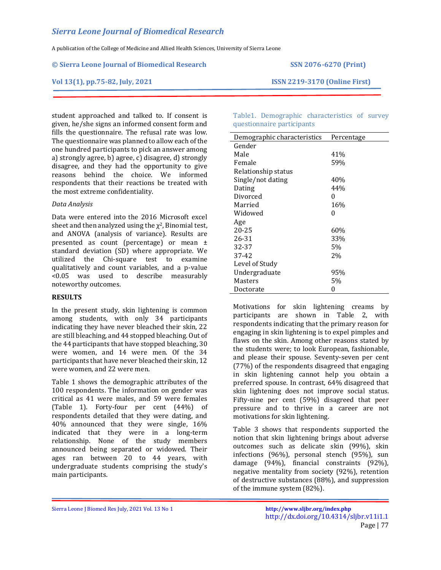A publication of the College of Medicine and Allied Health Sciences, University of Sierra Leone

#### **© Sierra Leone Journal of Biomedical Research SSN 2076-6270 (Print)**

### **Vol 13(1), pp.75-82, July, 2021 ISSN 2219-3170 (Online First)**

student approached and talked to. If consent is given, he/she signs an informed consent form and fills the questionnaire. The refusal rate was low. The questionnaire was planned to allow each of the one hundred participants to pick an answer among a) strongly agree, b) agree, c) disagree, d) strongly disagree, and they had the opportunity to give reasons behind the choice. We informed respondents that their reactions be treated with the most extreme confidentiality.

## *Data Analysis*

Data were entered into the 2016 Microsoft excel sheet and then analyzed using the  $\chi^2$ , Binomial test, and ANOVA (analysis of variance). Results are presented as count (percentage) or mean ± standard deviation (SD) where appropriate. We utilized the Chi-square test to examine qualitatively and count variables, and a p-value <0.05 was used to describe measurably noteworthy outcomes.

## **RESULTS**

In the present study, skin lightening is common among students, with only 34 participants indicating they have never bleached their skin, 22 are still bleaching, and 44 stopped bleaching. Out of the 44 participants that have stopped bleaching, 30 were women, and 14 were men. Of the 34 participants that have never bleached their skin, 12 were women, and 22 were men.

Table 1 shows the demographic attributes of the 100 respondents. The information on gender was critical as 41 were males, and 59 were females (Table 1). Forty-four per cent (44%) of respondents detailed that they were dating, and 40% announced that they were single, 16% indicated that they were in a long-term relationship. None of the study members announced being separated or widowed. Their ages ran between 20 to 44 years, with undergraduate students comprising the study's main participants.

Table1. Demographic characteristics of survey questionnaire participants

| Demographic characteristics | Percentage |
|-----------------------------|------------|
| Gender                      |            |
| Male                        | 41%        |
| Female                      | 59%        |
| Relationship status         |            |
| Single/not dating           | 40%        |
| Dating                      | 44%        |
| Divorced                    | 0          |
| Married                     | 16%        |
| Widowed                     | 0          |
| Age                         |            |
| 20-25                       | 60%        |
| 26-31                       | 33%        |
| 32-37                       | 5%         |
| 37-42                       | 2%         |
| Level of Study              |            |
| Undergraduate               | 95%        |
| Masters                     | 5%         |
| Doctorate                   | 0          |

Motivations for skin lightening creams by participants are shown in Table 2, with respondents indicating that the primary reason for engaging in skin lightening is to expel pimples and flaws on the skin. Among other reasons stated by the students were; to look European, fashionable, and please their spouse. Seventy-seven per cent (77%) of the respondents disagreed that engaging in skin lightening cannot help you obtain a preferred spouse. In contrast, 64% disagreed that skin lightening does not improve social status. Fifty-nine per cent (59%) disagreed that peer pressure and to thrive in a career are not motivations for skin lightening.

Table 3 shows that respondents supported the notion that skin lightening brings about adverse outcomes such as delicate skin (99%), skin infections (96%), personal stench (95%), sun damage (94%), financial constraints (92%), negative mentality from society (92%), retention of destructive substances (88%), and suppression of the immune system (82%).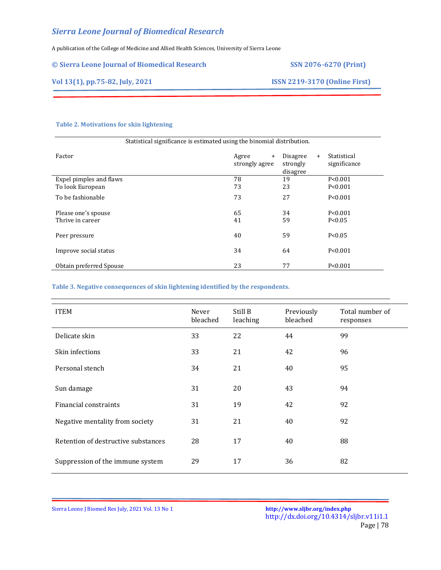A publication of the College of Medicine and Allied Health Sciences, University of Sierra Leone

| © Sierra Leone Journal of Biomedical Research | <b>SSN 2076-6270 (Print)</b>         |
|-----------------------------------------------|--------------------------------------|
| Vol 13(1), pp.75-82, July, 2021               | <b>ISSN 2219-3170 (Online First)</b> |
|                                               |                                      |

# **Table 2. Motivations for skin lightening**

| Statistical significance is estimated using the binomial distribution. |                                      |                                         |                             |  |
|------------------------------------------------------------------------|--------------------------------------|-----------------------------------------|-----------------------------|--|
| Factor                                                                 | Agree<br>$\ddot{}$<br>strongly agree | Disagree<br>$+$<br>strongly<br>disagree | Statistical<br>significance |  |
| Expel pimples and flaws                                                | 78                                   | 19                                      | P < 0.001                   |  |
| To look European                                                       | 73                                   | 23                                      | P < 0.001                   |  |
| To be fashionable                                                      | 73                                   | 27                                      | P < 0.001                   |  |
| Please one's spouse                                                    | 65                                   | 34                                      | P < 0.001                   |  |
| Thrive in career                                                       | 41                                   | 59                                      | P < 0.05                    |  |
| Peer pressure                                                          | 40                                   | 59                                      | P < 0.05                    |  |
| Improve social status                                                  | 34                                   | 64                                      | P < 0.001                   |  |
| Obtain preferred Spouse                                                | 23                                   | 77                                      | P < 0.001                   |  |

**Table 3. Negative consequences of skin lightening identified by the respondents.**

| <b>ITEM</b>                         | Never<br>bleached | Still B<br>leaching | Previously<br>bleached | Total number of<br>responses |
|-------------------------------------|-------------------|---------------------|------------------------|------------------------------|
| Delicate skin                       | 33                | 22                  | 44                     | 99                           |
| Skin infections                     | 33                | 21                  | 42                     | 96                           |
| Personal stench                     | 34                | 21                  | 40                     | 95                           |
| Sun damage                          | 31                | 20                  | 43                     | 94                           |
| Financial constraints               | 31                | 19                  | 42                     | 92                           |
| Negative mentality from society     | 31                | 21                  | 40                     | 92                           |
| Retention of destructive substances | 28                | 17                  | 40                     | 88                           |
| Suppression of the immune system    | 29                | 17                  | 36                     | 82                           |

Sierra Leone J Biomed Res July, 2021 Vol. 13 No 1 **<http://www.sljbr.org/index.php>**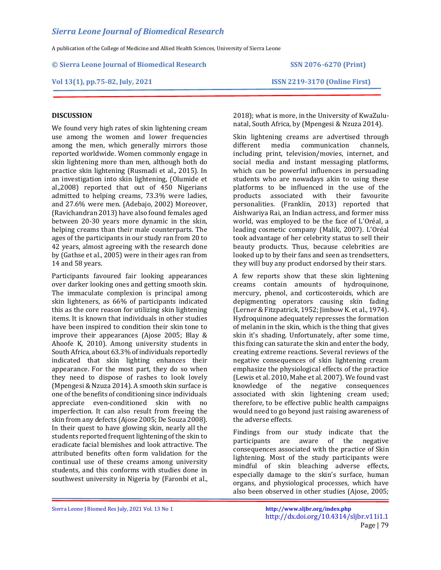A publication of the College of Medicine and Allied Health Sciences, University of Sierra Leone

**© Sierra Leone Journal of Biomedical Research SSN 2076-6270 (Print)**

# **Vol 13(1), pp.75-82, July, 2021 ISSN 2219-3170 (Online First)**

## **DISCUSSION**

We found very high rates of skin lightening cream use among the women and lower frequencies among the men, which generally mirrors those reported worldwide. Women commonly engage in skin lightening more than men, although both do practice skin lightening (Rusmadi et al., 2015). In an investigation into skin lightening, (Olumide et al.,2008) reported that out of 450 Nigerians admitted to helping creams, 73.3% were ladies, and 27.6% were men. (Adebajo, 2002) Moreover, (Ravichandran 2013) have also found females aged between 20-30 years more dynamic in the skin, helping creams than their male counterparts. The ages of the participants in our study ran from 20 to 42 years, almost agreeing with the research done by (Gathse et al., 2005) were in their ages ran from 14 and 58 years.

Participants favoured fair looking appearances over darker looking ones and getting smooth skin. The immaculate complexion is principal among skin lighteners, as 66% of participants indicated this as the core reason for utilizing skin lightening items. It is known that individuals in other studies have been inspired to condition their skin tone to improve their appearances (Ajose 2005; Blay & Ahoofe K, 2010). Among university students in South Africa, about 63.3% of individuals reportedly indicated that skin lighting enhances their appearance. For the most part, they do so when they need to dispose of rashes to look lovely (Mpengesi & Nzuza 2014). A smooth skin surface is one of the benefits of conditioning since individuals appreciate even-conditioned skin with no imperfection. It can also result from freeing the skin from any defects (Ajose 2005; De Souza 2008). In their quest to have glowing skin, nearly all the students reported frequent lightening of the skin to eradicate facial blemishes and look attractive. The attributed benefits often form validation for the continual use of these creams among university students, and this conforms with studies done in southwest university in Nigeria by (Faronbi et al.,

2018); what is more, in the University of KwaZulunatal, South Africa, by (Mpengesi & Nzuza 2014).

Skin lightening creams are advertised through different media communication channels, including print, television/movies, internet, and social media and instant messaging platforms, which can be powerful influences in persuading students who are nowadays akin to using these platforms to be influenced in the use of the products associated with their favourite personalities. (Franklin, 2013) reported that Aishwariya Rai, an Indian actress, and former miss world, was employed to be the face of L'Oréal, a leading cosmetic company (Malik, 2007). L'Oréal took advantage of her celebrity status to sell their beauty products. Thus, because celebrities are looked up to by their fans and seen as trendsetters, they will buy any product endorsed by their stars.

A few reports show that these skin lightening creams contain amounts of hydroquinone, mercury, phenol, and corticosteroids, which are depigmenting operators causing skin fading (Lerner & Fitzpatrick, 1952; Jimbow K. et al., 1974). Hydroquinone adequately represses the formation of melanin in the skin, which is the thing that gives skin it's shading. Unfortunately, after some time, this fixing can saturate the skin and enter the body, creating extreme reactions. Several reviews of the negative consequences of skin lightening cream emphasize the physiological effects of the practice (Lewis et al. 2010, Mahe et al. 2007). We found vast knowledge of the negative consequences associated with skin lightening cream used; therefore, to be effective public health campaigns would need to go beyond just raising awareness of the adverse effects.

Findings from our study indicate that the participants are aware of the negative consequences associated with the practice of Skin lightening. Most of the study participants were mindful of skin bleaching adverse effects, especially damage to the skin's surface, human organs, and physiological processes, which have also been observed in other studies (Ajose, 2005;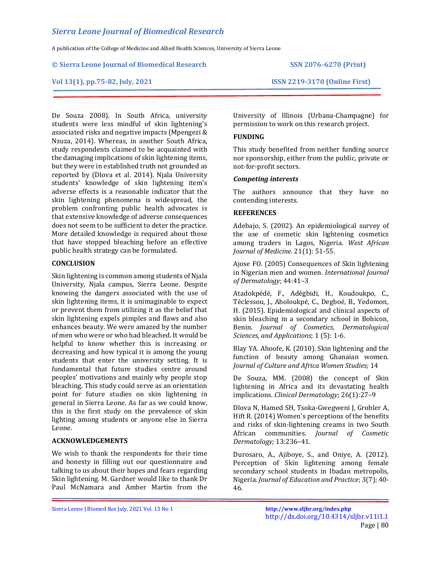A publication of the College of Medicine and Allied Health Sciences, University of Sierra Leone

#### **© Sierra Leone Journal of Biomedical Research SSN 2076-6270 (Print)**

### **Vol 13(1), pp.75-82, July, 2021 ISSN 2219-3170 (Online First)**

De Souza 2008). In South Africa, university students were less mindful of skin lightening's associated risks and negative impacts (Mpengezi & Nzuza, 2014). Whereas, in another South Africa, study respondents claimed to be acquainted with the damaging implications of skin lightening items, but they were in established truth not grounded as reported by (Dlova et al. 2014). Njala University students' knowledge of skin lightening item's adverse effects is a reasonable indicator that the skin lightening phenomena is widespread, the problem confronting public health advocates is that extensive knowledge of adverse consequences does not seem to be sufficient to deter the practice. More detailed knowledge is required about those that have stopped bleaching before an effective public health strategy can be formulated.

## **CONCLUSION**

Skin lightening is common among students of Njala University, Njala campus, Sierra Leone. Despite knowing the dangers associated with the use of skin lightening items, it is unimaginable to expect or prevent them from utilizing it as the belief that skin lightening expels pimples and flaws and also enhances beauty. We were amazed by the number of men who were or who had bleached. It would be helpful to know whether this is increasing or decreasing and how typical it is among the young students that enter the university setting. It is fundamental that future studies centre around peoples' motivations and mainly why people stop bleaching. This study could serve as an orientation point for future studies on skin lightening in general in Sierra Leone. As far as we could know, this is the first study on the prevalence of skin lighting among students or anyone else in Sierra Leone.

## **ACKNOWLEDGEMENTS**

We wish to thank the respondents for their time and honesty in filling out our questionnaire and talking to us about their hopes and fears regarding Skin lightening. M. Gardner would like to thank Dr Paul McNamara and Amber Martin from the

University of Illinois (Urbana-Champagne) for permission to work on this research project.

## **FUNDING**

This study benefited from neither funding source nor sponsorship, either from the public, private or not-for-profit sectors.

## *Competing interests*

The authors announce that they have no contending interests.

## **REFERENCES**

Adebajo, S. (2002). An epidemiological survey of the use of cosmetic skin lightening cosmetics among traders in Lagos, Nigeria. *West African Journal of Medicine*. 21(1): 51-55.

Ajose FO. (2005) Consequences of Skin lightening in Nigerian men and women. *International Journal of Dermatology*; 44:41–3

Atadokpédé, F., Adégbidi, H., Koudoukpo, C., Téclessou, J., Aholoukpé, C., Degboé, B., Yedomon, H. (2015). Epidemiological and clinical aspects of skin bleaching in a secondary school in Bohicon, Benin. *Journal of Cosmetics, Dermatological Sciences, and Applications*; 1 (5): 1-6.

Blay YA. Ahoofe, K. (2010). Skin lightening and the function of beauty among Ghanaian women. *Journal of Culture and Africa Women Studies;* 14

De Souza, MM. (2008) the concept of Skin lightening in Africa and its devastating health implications. *Clinical Dermatology*; 26(1):27–9

Dlova N, Hamed SH, Tsoka-Gwegweni J, Grobler A, Hift R. (2014) Women's perceptions of the benefits and risks of skin-lightening creams in two South African communities. *Journal of Cosmetic Dermatology;* 13:236–41.

Durosaro, A., Ajiboye, S., and Oniye, A. (2012). Perception of Skin lightening among female secondary school students in Ibadan metropolis, Nigeria. *Journal of Education and Practice*; 3(7); 40- 46.